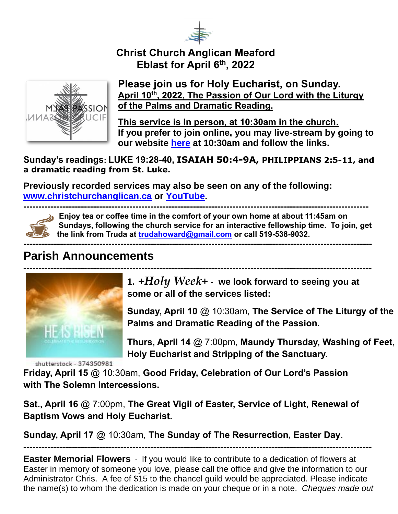

## **Christ Church Anglican Meaford Eblast for April 6th , 2022**



#### **Please join us for Holy Eucharist, on Sunday. April 10th, 2022, The Passion of Our Lord with the Liturgy of the Palms and Dramatic Reading.**

**This service is In person, at 10:30am in the church. If you prefer to join online, you may live-stream by going to our website [here](https://christchurchanglican.ca/) at 10:30am and follow the links.** 

**Sunday's readings: LUKE 19:28-40, ISAIAH 50:4-9A, PHILIPPIANS 2:5-11, and a dramatic reading from St. Luke.** 

**Previously recorded services may also be seen on any of the following: [www.christchurchanglican.ca](http://www.christchurchanglican.ca/) or [YouTube.](https://www.youtube.com/channel/UCcJHYZ4ZTnJDu7skpcd4O5A)** 



**------------------------------------------------------------------------------------------------------------------ Enjoy tea or coffee time in the comfort of your own home at about 11:45am on Sundays, following the church service for an interactive fellowship time. To join, get the link from Truda at [trudahoward@gmail.com](mailto:trudahoward@gmail.com) or call 519-538-9032.**

#### **-------------------------------------------------------------------------------------------------------------------**

# **Parish Announcements**



**1.** *+Holy Week+* **- we look forward to seeing you at some or all of the services listed:** 

**Sunday, April 10** @ 10:30am, **The Service of The Liturgy of the Palms and Dramatic Reading of the Passion.** 

**Thurs, April 14** @ 7:00pm, **Maundy Thursday, Washing of Feet, Holy Eucharist and Stripping of the Sanctuary.** 

shutterstock - 374350981

**Friday, April 15** @ 10:30am, **Good Friday, Celebration of Our Lord's Passion with The Solemn Intercessions.** 

**Sat., April 16** @ 7:00pm, **The Great Vigil of Easter, Service of Light, Renewal of Baptism Vows and Holy Eucharist.**

**Sunday, April 17** @ 10:30am, **The Sunday of The Resurrection, Easter Day**.

**Easter Memorial Flowers** - If you would like to contribute to a dedication of flowers at Easter in memory of someone you love, please call the office and give the information to our Administrator Chris. A fee of \$15 to the chancel guild would be appreciated. Please indicate the name(s) to whom the dedication is made on your cheque or in a note. *Cheques made out* 

-------------------------------------------------------------------------------------------------------------------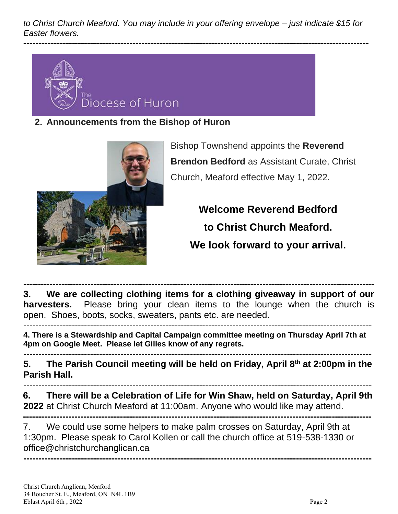*to Christ Church Meaford. You may include in your offering envelope – just indicate \$15 for Easter flowers.* 

------------------------------------------------------------------------------------------------------------------



**2. Announcements from the Bishop of Huron**



Bishop Townshend appoints the **Reverend Brendon Bedford** as Assistant Curate, Christ Church, Meaford effective May 1, 2022.

> **Welcome Reverend Bedford to Christ Church Meaford. We look forward to your arrival.**

------------------------------------------------------------------------------------------------------------------------ **3. We are collecting clothing items for a clothing giveaway in support of our harvesters.** Please bring your clean items to the lounge when the church is open. Shoes, boots, socks, sweaters, pants etc. are needed. -------------------------------------------------------------------------------------------------------------------

**4. There is a Stewardship and Capital Campaign committee meeting on Thursday April 7th at** 

**4pm on Google Meet. Please let Gilles know of any regrets.**  -------------------------------------------------------------------------------------------------------------------

**5. The Parish Council meeting will be held on Friday, April 8th at 2:00pm in the Parish Hall.** 

------------------------------------------------------------------------------------------------------------------- **6. There will be a Celebration of Life for Win Shaw, held on Saturday, April 9th** 

**2022** at Christ Church Meaford at 11:00am. Anyone who would like may attend.

**-------------------------------------------------------------------------------------------------------------------** 7. We could use some helpers to make palm crosses on Saturday, April 9th at 1:30pm. Please speak to Carol Kollen or call the church office at 519-538-1330 or office@christchurchanglican.ca **-------------------------------------------------------------------------------------------------------------------**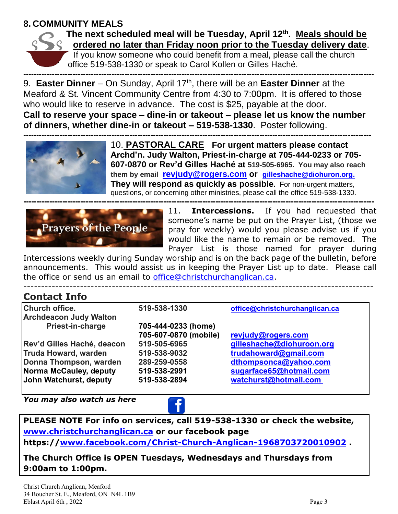#### **8. COMMUNITY MEALS**



#### **The next scheduled meal will be Tuesday, April 12th . Meals should be ordered no later than Friday noon prior to the Tuesday delivery date**.

If you know someone who could benefit from a meal, please call the church office 519-538-1330 or speak to Carol Kollen or Gilles Haché.

**---------------------------------------------------------------------------------------------------------------------------------------** 9. **Easter Dinner** – On Sunday, April 17th, there will be an **Easter Dinner** at the Meaford & St. Vincent Community Centre from 4:30 to 7:00pm. It is offered to those who would like to reserve in advance. The cost is \$25, payable at the door. **Call to reserve your space – dine-in or takeout – please let us know the number of dinners, whether dine-in or takeout – 519-538-1330**. Poster following.



10. **PASTORAL CARE For urgent matters please contact Archd'n. Judy Walton, Priest-in-charge at 705-444-0233 or 705- 607-0870 or Rev'd Gilles Haché at 519-505-6965. You may also reach them by email [revjudy@rogers.com](mailto:revjudy@rogers.com) or [gilleshache@diohuron.org.](mailto:gilleshache@diohuron.org) They will respond as quickly as possible.** For non-urgent matters, questions, or concerning other ministries, please call the office 519-538-1330.



11. **Intercessions.** If you had requested that someone's name be put on the Prayer List, (those we pray for weekly) would you please advise us if you would like the name to remain or be removed. The Prayer List is those named for prayer during

Intercessions weekly during Sunday worship and is on the back page of the bulletin, before announcements. This would assist us in keeping the Prayer List up to date. Please call the office or send us an email to [office@christchurchanglican.ca.](mailto:office@christchurchanglican.ca)

---------------------------------------------------------------------------------------------------

### **Contact Info**

| <b>Church office.</b>         | 519-538-1330          | office@christchurchanglican.ca |
|-------------------------------|-----------------------|--------------------------------|
| <b>Archdeacon Judy Walton</b> |                       |                                |
| Priest-in-charge              | 705-444-0233 (home)   |                                |
|                               | 705-607-0870 (mobile) | revjudy@rogers.com             |
| Rev'd Gilles Haché, deacon    | 519-505-6965          | gilleshache@diohuroon.org      |
| <b>Truda Howard, warden</b>   | 519-538-9032          | trudahoward@gmail.com          |
| Donna Thompson, warden        | 289-259-0558          | dthompsonca@yahoo.com          |
| Norma McCauley, deputy        | 519-538-2991          | sugarface65@hotmail.com        |
| John Watchurst, deputy        | 519-538-2894          | watchurst@hotmail.com          |

*You may also watch us here* 



**PLEASE NOTE For info on services, call 519-538-1330 or check the website, [www.christchurchanglican.ca](http://www.christchurchanglican.ca/) or our facebook page** 

**https:/[/www.facebook.com/Christ-Church-Anglican-1968703720010902](file:///C:/Users/Church%20Office/IDrive-Sync/CHRIST%20CHURCH%20MEAFORD/Eblasts/EBLASTS%202021/www.facebook.com/Christ-Church-Anglican-1968703720010902) .** 

**The Church Office is OPEN Tuesdays, Wednesdays and Thursdays from 9:00am to 1:00pm.**